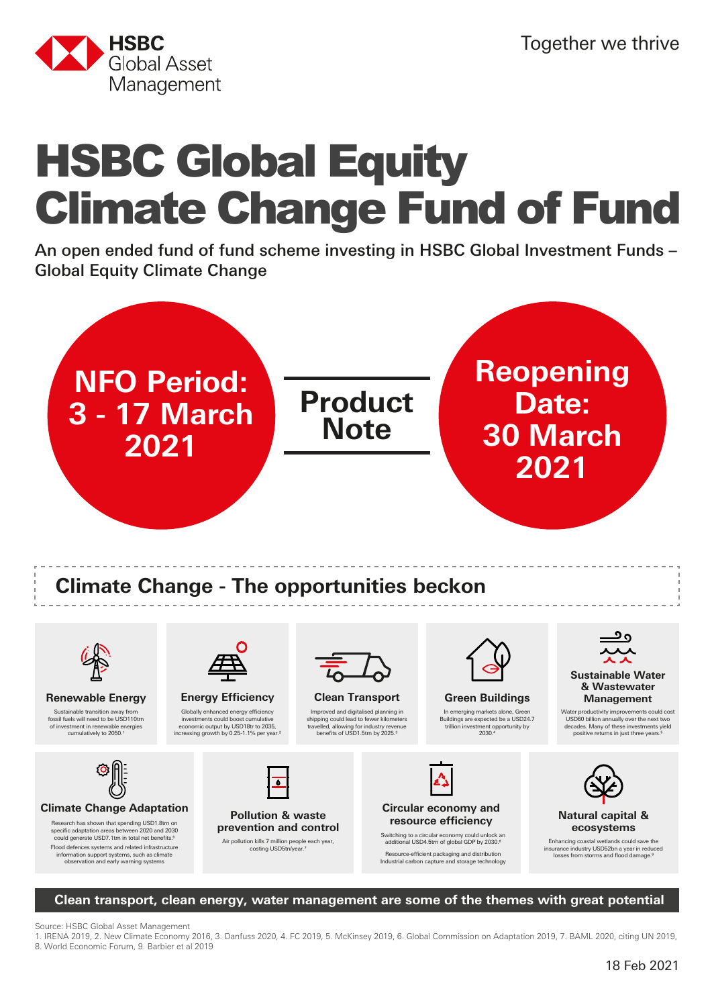

# HSBC Global Equity Climate Change Fund of Fund

An open ended fund of fund scheme investing in HSBC Global Investment Funds – Global Equity Climate Change





could generate USD7.1trn in total net benefits.<sup>6</sup> Flood defences systems and related infrastructure information support systems, such as climate observation and early warning systems

**prevention and control**

Air pollution kills 7 million people each year,<br>costing USD5tn/year.<sup>7</sup>

Switching to a circular economy could unlock an additional USD4.5trn of global GDP by 2030.8 Resource-efficient packaging and distribution<br>Industrial carbon capture and storage technology

Enhancing coastal wetlands could save the insurance industry USD52bn a year in reduced losses from storms and flood damage.9

**Clean transport, clean energy, water management are some of the themes with great potential**

Source: HSBC Global Asset Management

1. IRENA 2019, 2. New Climate Economy 2016, 3. Danfuss 2020, 4. FC 2019, 5. McKinsey 2019, 6. Global Commission on Adaptation 2019, 7. BAML 2020, citing UN 2019, 8. World Economic Forum, 9. Barbier et al 2019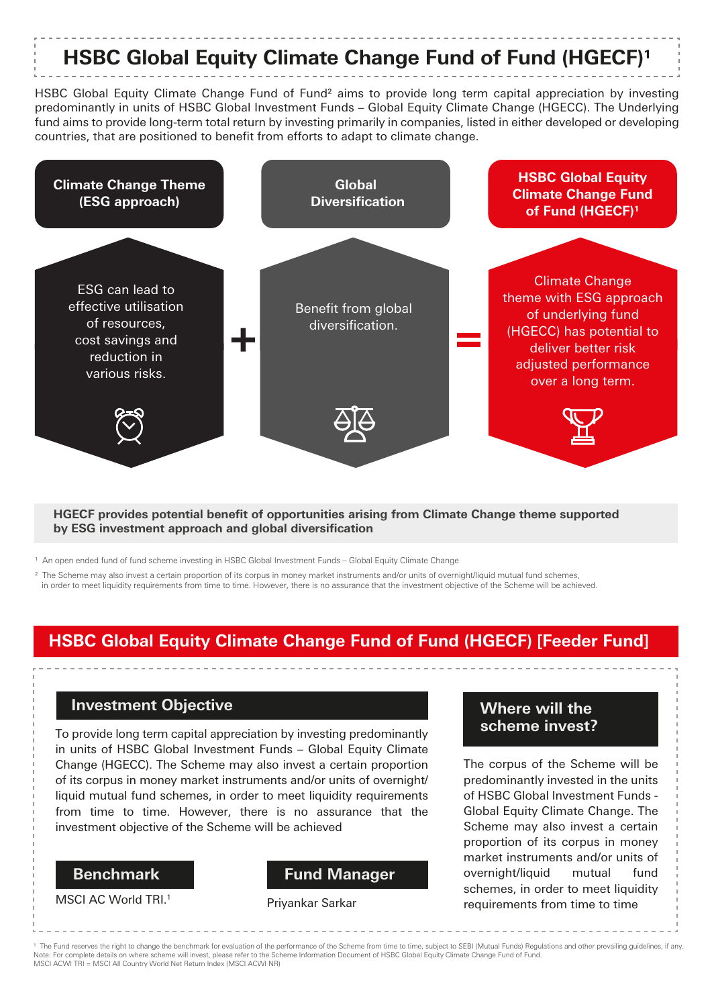## **HSBC Global Equity Climate Change Fund of Fund (HGECF)1**

HSBC Global Equity Climate Change Fund of Fund<sup>2</sup> aims to provide long term capital appreciation by investing predominantly in units of HSBC Global Investment Funds – Global Equity Climate Change (HGECC). The Underlying fund aims to provide long-term total return by investing primarily in companies, listed in either developed or developing countries, that are positioned to benefit from efforts to adapt to climate change.



#### **HGECF provides potential benefit of opportunities arising from Climate Change theme supported by ESG investment approach and global diversification**

1 An open ended fund of fund scheme investing in HSBC Global Investment Funds – Global Equity Climate Change

<sup>2</sup> The Scheme may also invest a certain proportion of its corpus in money market instruments and/or units of overnight/liquid mutual fund schemes,

in order to meet liquidity requirements from time to time. However, there is no assurance that the investment objective of the Scheme will be achieved.

### **HSBC Global Equity Climate Change Fund of Fund (HGECF) [Feeder Fund]**

### **Investment Objective**

To provide long term capital appreciation by investing predominantly in units of HSBC Global Investment Funds – Global Equity Climate Change (HGECC). The Scheme may also invest a certain proportion of its corpus in money market instruments and/or units of overnight/ liquid mutual fund schemes, in order to meet liquidity requirements from time to time. However, there is no assurance that the investment objective of the Scheme will be achieved

### **Benchmark**

MSCI AC World TRI.<sup>1</sup>

#### **Fund Manager**

### **Where will the scheme invest?**

The corpus of the Scheme will be predominantly invested in the units of HSBC Global Investment Funds - Global Equity Climate Change. The Scheme may also invest a certain proportion of its corpus in money market instruments and/or units of overnight/liquid mutual fund schemes, in order to meet liquidity Priyankar Sarkar requirements from time to time

1 The Fund reserves the right to change the benchmark for evaluation of the performance of the Scheme from time to time, subject to SEBI (Mutual Funds) Regulations and other prevailing guidelines, if any. Note: For complete details on where scheme will invest, please refer to the Scheme Information Document of HSBC Global Equity Climate Change Fund of Fund. MSCI ACWI TRI = MSCI All Country World Net Return Index (MSCI ACWI NR)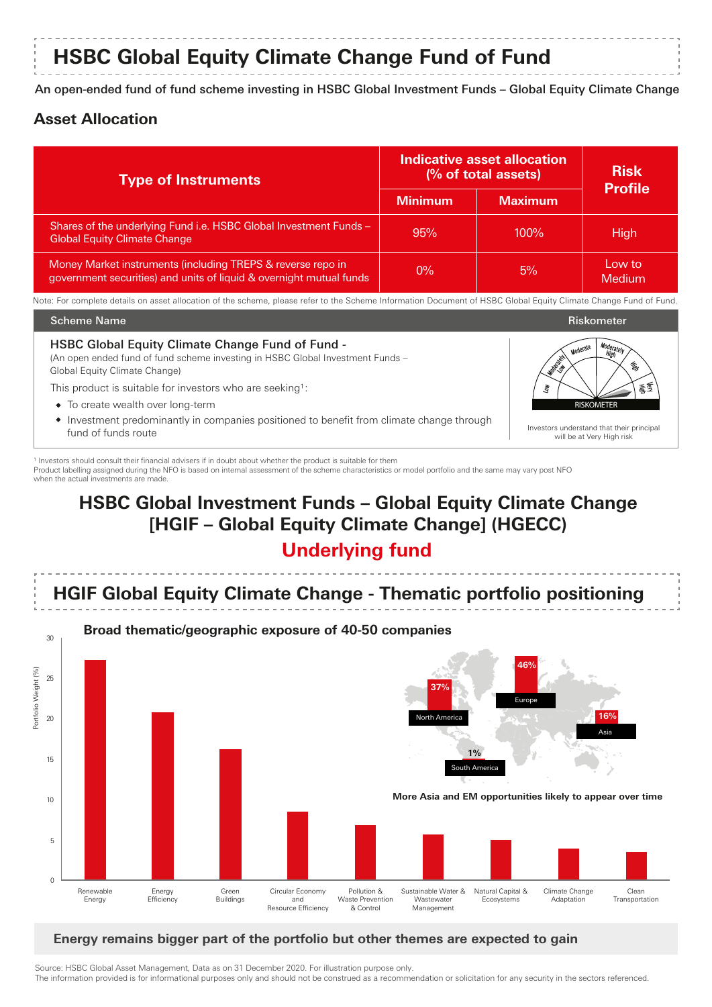### **HSBC Global Equity Climate Change Fund of Fund**

An open-ended fund of fund scheme investing in HSBC Global Investment Funds – Global Equity Climate Change

### **Asset Allocation**

| <b>Type of Instruments</b>                                                                                                         | Indicative asset allocation<br>(% of total assets) |                | <b>Risk</b><br><b>Profile</b> |
|------------------------------------------------------------------------------------------------------------------------------------|----------------------------------------------------|----------------|-------------------------------|
|                                                                                                                                    | <b>Minimum</b>                                     | <b>Maximum</b> |                               |
| Shares of the underlying Fund i.e. HSBC Global Investment Funds -<br><b>Global Equity Climate Change</b>                           | 95%                                                | $100\%$        | High                          |
| Money Market instruments (including TREPS & reverse repo in<br>government securities) and units of liquid & overnight mutual funds | $0\%$                                              | 5%             | Low to<br>Medium              |

Note: For complete details on asset allocation of the scheme, please refer to the Scheme Information Document of HSBC Global Equity Climate Change Fund of Fund.



1 Investors should consult their financial advisers if in doubt about whether the product is suitable for them Product labelling assigned during the NFO is based on internal assessment of the scheme characteristics or model portfolio and the same may vary post NFO when the actual investments are made.

### **HSBC Global Investment Funds – Global Equity Climate Change [HGIF – Global Equity Climate Change] (HGECC)**

### **Underlying fund**



### **Energy remains bigger part of the portfolio but other themes are expected to gain**

Source: HSBC Global Asset Management, Data as on 31 December 2020. For illustration purpose only. The information provided is for informational purposes only and should not be construed as a recommendation or solicitation for any security in the sectors referenced.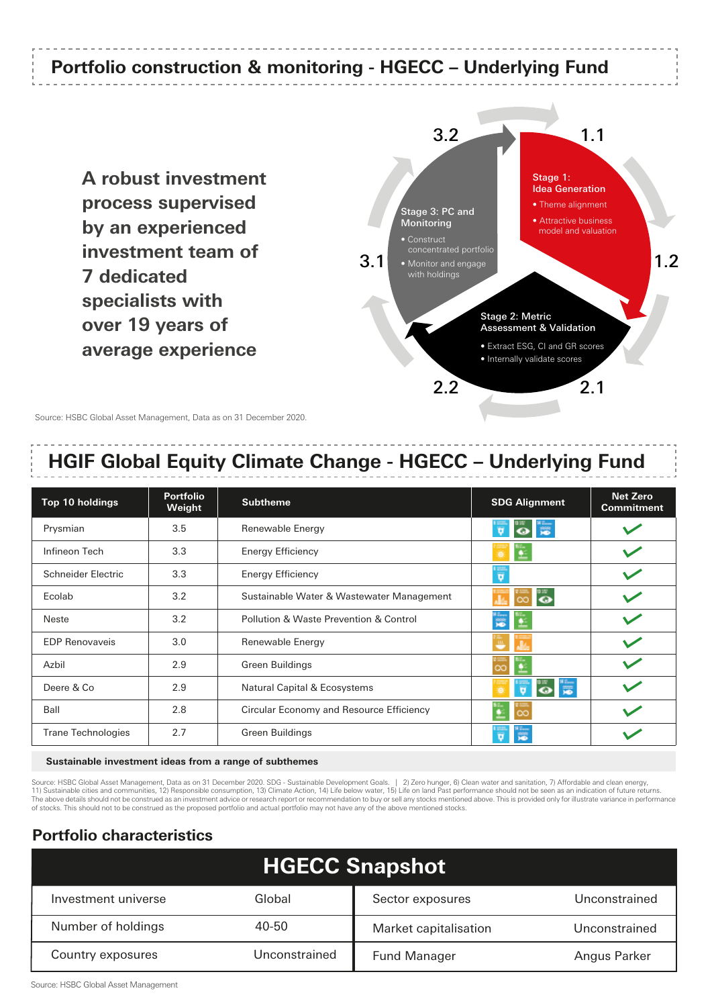### **Portfolio construction & monitoring - HGECC – Underlying Fund**

**A robust investment process supervised by an experienced investment team of 7 dedicated specialists with over 19 years of average experience**



Source: HSBC Global Asset Management, Data as on 31 December 2020.

### **HGIF Global Equity Climate Change - HGECC – Underlying Fund**

| Top 10 holdings           | <b>Portfolio</b><br>Weight | <b>Subtheme</b>                           | <b>SDG Alignment</b>                     | <b>Net Zero</b><br><b>Commitment</b> |
|---------------------------|----------------------------|-------------------------------------------|------------------------------------------|--------------------------------------|
| Prysmian                  | 3.5                        | Renewable Energy                          | <b>PO</b><br>$\overline{u}$<br>$\bullet$ |                                      |
| Infineon Tech             | 3.3                        | <b>Energy Efficiency</b>                  |                                          |                                      |
| Schneider Electric        | 3.3                        | <b>Energy Efficiency</b>                  | Ţ                                        |                                      |
| Ecolab                    | 3.2                        | Sustainable Water & Wastewater Management | "o                                       |                                      |
| Neste                     | 3.2                        | Pollution & Waste Prevention & Control    |                                          |                                      |
| <b>EDP Renovaveis</b>     | 3.0                        | Renewable Energy                          |                                          |                                      |
| Azbil                     | 2.9                        | <b>Green Buildings</b>                    |                                          |                                      |
| Deere & Co                | 2.9                        | Natural Capital & Ecosystems              | <b>OF</b><br>Ŧ                           |                                      |
| Ball                      | 2.8                        | Circular Economy and Resource Efficiency  |                                          |                                      |
| <b>Trane Technologies</b> | 2.7                        | <b>Green Buildings</b>                    |                                          |                                      |

#### **Sustainable investment ideas from a range of subthemes**

Source: HSBC Global Asset Management, Data as on 31 December 2020. SDG - Sustainable Development Goals. | 2) Zero hunger, 6) Clean water and sanitation, 7) Affordable and clean energy, 11) Sustainable cities and communities, 12) Responsible consumption, 13) Climate Action, 14) Life below water, 15) Life on land Past performance should not be seen as an indication of future returns.<br>The above details shou of stocks. This should not to be construed as the proposed portfolio and actual portfolio may not have any of the above mentioned stocks.

### **Portfolio characteristics**

| <b>HGECC Snapshot</b> |               |                       |               |  |  |
|-----------------------|---------------|-----------------------|---------------|--|--|
| Investment universe   | Global        | Sector exposures      | Unconstrained |  |  |
| Number of holdings    | 40-50         | Market capitalisation | Unconstrained |  |  |
| Country exposures     | Unconstrained | <b>Fund Manager</b>   | Angus Parker  |  |  |